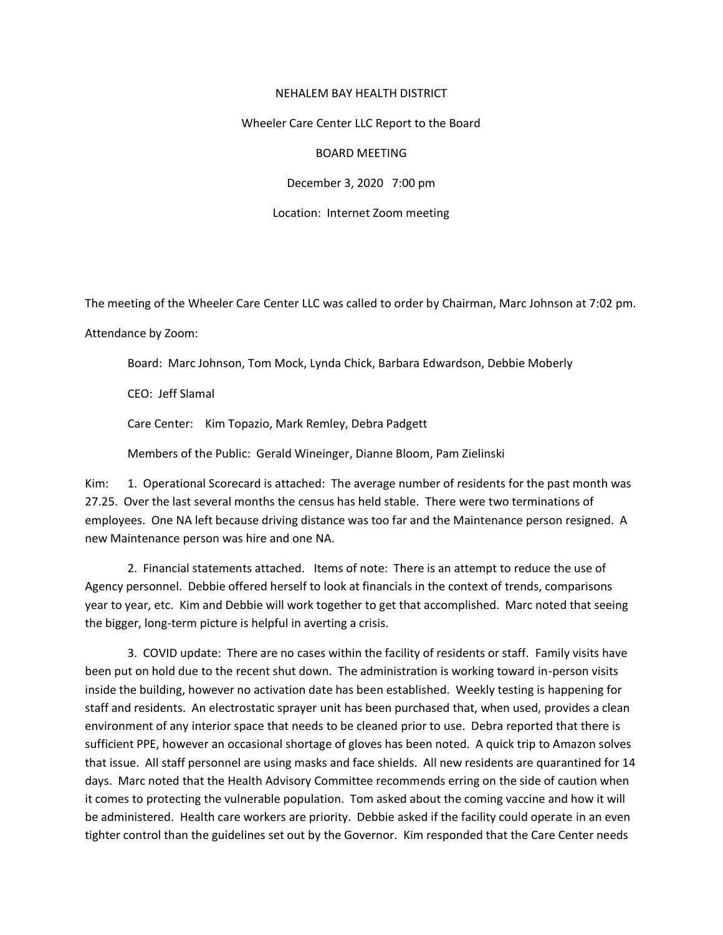## NEHALEM BAY HEALTH DISTRICT

## Wheeler Care Center LLC Report to the Board

## BOARD MEETING

December 3, 2020 7:00 pm

Location: Internet Zoom meeting

The meeting of the Wheeler Care Center LLC was called to order by Chairman, Marc Johnson at 7:02 pm.

Attendance by Zoom:

Board: Marc Johnson, Tom Mock, Lynda Chick, Barbara Edwardson, Debbie Moberly

CEO: Jeff Slamal

Care Center: Kim Topazio, Mark Remley, Debra Padgett

Members of the Public: Gerald Wineinger, Dianne Bloom, Pam Zielinski

Kim: 1. Operational Scorecard is attached: The average number of residents for the past month was 27.25. Over the last several months the census has held stable. There were two terminations of employees. One NA left because driving distance was too far and the Maintenance person resigned. A new Maintenance person was hire and one NA.

2. Financial statements attached. Items of note: There is an attempt to reduce the use of Agency personnel. Debbie offered herself to look at financials in the context of trends, comparisons year to year, etc. Kim and Debbie will work together to get that accomplished. Marc noted that seeing the bigger, long-term picture is helpful in averting a crisis.

3. COVID update: There are no cases within the facility of residents or staff. Family visits have been put on hold due to the recent shut down. The administration is working toward in-person visits inside the building, however no activation date has been established. Weekly testing is happening for staff and residents. An electrostatic sprayer unit has been purchased that, when used, provides a clean environment of any interior space that needs to be cleaned prior to use. Debra reported that there is sufficient PPE, however an occasional shortage of gloves has been noted. A quick trip to Amazon solves that issue. All staff personnel are using masks and face shields. All new residents are quarantined for 14 days. Marc noted that the Health Advisory Committee recommends erring on the side of caution when it comes to protecting the vulnerable population. Tom asked about the coming vaccine and how it will be administered. Health care workers are priority. Debbie asked if the facility could operate in an even tighter control than the guidelines set out by the Governor. Kim responded that the Care Center needs